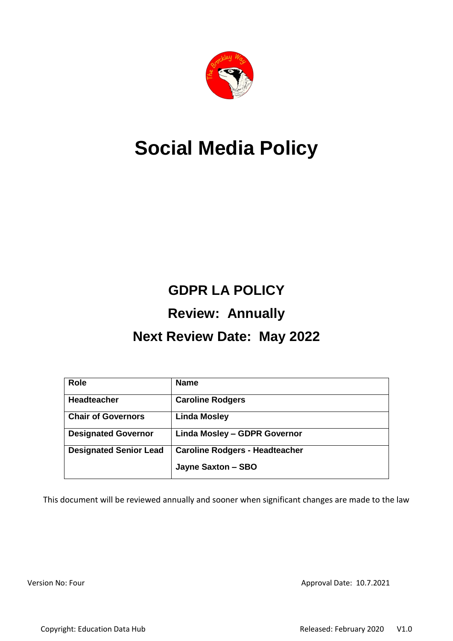

# **Social Media Policy**

## **GDPR LA POLICY Review: Annually**

## **Next Review Date: May 2022**

| <b>Role</b>                   | <b>Name</b>                           |
|-------------------------------|---------------------------------------|
| <b>Headteacher</b>            | <b>Caroline Rodgers</b>               |
| <b>Chair of Governors</b>     | <b>Linda Mosley</b>                   |
| <b>Designated Governor</b>    | Linda Mosley - GDPR Governor          |
| <b>Designated Senior Lead</b> | <b>Caroline Rodgers - Headteacher</b> |
|                               | Jayne Saxton - SBO                    |

This document will be reviewed annually and sooner when significant changes are made to the law

Version No: Four Approval Date: 10.7.2021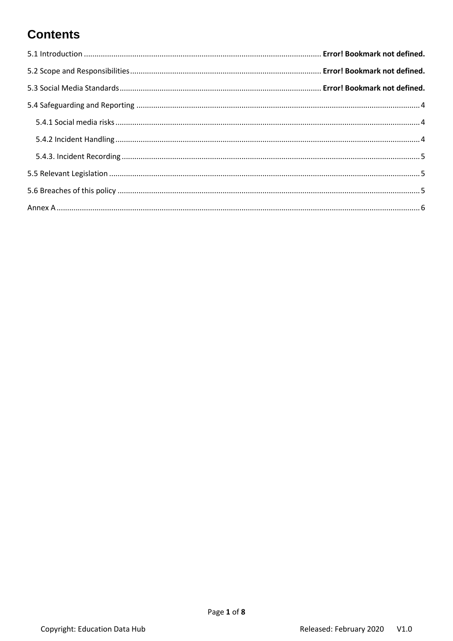## **Contents**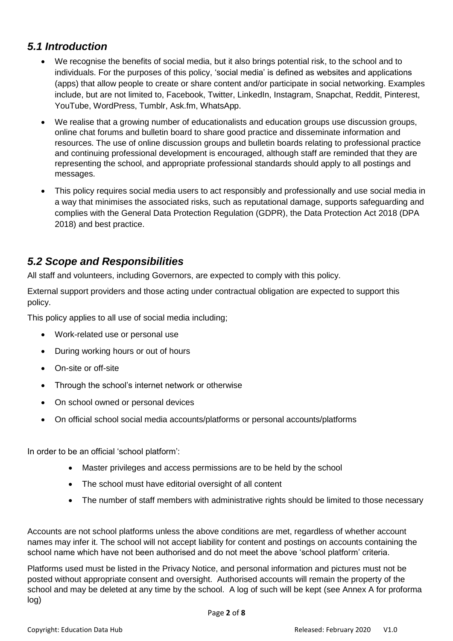#### *5.1 Introduction*

- We recognise the benefits of social media, but it also brings potential risk, to the school and to individuals. For the purposes of this policy, 'social media' is defined as websites and applications (apps) that allow people to create or share content and/or participate in social networking. Examples include, but are not limited to, Facebook, Twitter, LinkedIn, Instagram, Snapchat, Reddit, Pinterest, YouTube, WordPress, Tumblr, Ask.fm, WhatsApp.
- We realise that a growing number of educationalists and education groups use discussion groups, online chat forums and bulletin board to share good practice and disseminate information and resources. The use of online discussion groups and bulletin boards relating to professional practice and continuing professional development is encouraged, although staff are reminded that they are representing the school, and appropriate professional standards should apply to all postings and messages.
- This policy requires social media users to act responsibly and professionally and use social media in a way that minimises the associated risks, such as reputational damage, supports safeguarding and complies with the General Data Protection Regulation (GDPR), the Data Protection Act 2018 (DPA 2018) and best practice.

#### *5.2 Scope and Responsibilities*

All staff and volunteers, including Governors, are expected to comply with this policy.

External support providers and those acting under contractual obligation are expected to support this policy.

This policy applies to all use of social media including;

- Work-related use or personal use
- During working hours or out of hours
- On-site or off-site
- Through the school's internet network or otherwise
- On school owned or personal devices
- On official school social media accounts/platforms or personal accounts/platforms

In order to be an official 'school platform':

- Master privileges and access permissions are to be held by the school
- The school must have editorial oversight of all content
- The number of staff members with administrative rights should be limited to those necessary

Accounts are not school platforms unless the above conditions are met, regardless of whether account names may infer it. The school will not accept liability for content and postings on accounts containing the school name which have not been authorised and do not meet the above 'school platform' criteria.

Platforms used must be listed in the Privacy Notice, and personal information and pictures must not be posted without appropriate consent and oversight. Authorised accounts will remain the property of the school and may be deleted at any time by the school. A log of such will be kept (see Annex A for proforma log)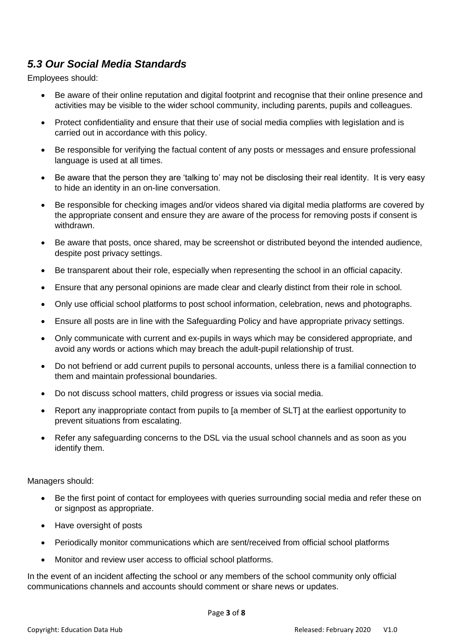#### *5.3 Our Social Media Standards*

Employees should:

- Be aware of their online reputation and digital footprint and recognise that their online presence and activities may be visible to the wider school community, including parents, pupils and colleagues.
- Protect confidentiality and ensure that their use of social media complies with legislation and is carried out in accordance with this policy.
- Be responsible for verifying the factual content of any posts or messages and ensure professional language is used at all times.
- Be aware that the person they are 'talking to' may not be disclosing their real identity. It is very easy to hide an identity in an on-line conversation.
- Be responsible for checking images and/or videos shared via digital media platforms are covered by the appropriate consent and ensure they are aware of the process for removing posts if consent is withdrawn.
- Be aware that posts, once shared, may be screenshot or distributed beyond the intended audience, despite post privacy settings.
- Be transparent about their role, especially when representing the school in an official capacity.
- Ensure that any personal opinions are made clear and clearly distinct from their role in school.
- Only use official school platforms to post school information, celebration, news and photographs.
- Ensure all posts are in line with the Safeguarding Policy and have appropriate privacy settings.
- Only communicate with current and ex-pupils in ways which may be considered appropriate, and avoid any words or actions which may breach the adult-pupil relationship of trust.
- Do not befriend or add current pupils to personal accounts, unless there is a familial connection to them and maintain professional boundaries.
- Do not discuss school matters, child progress or issues via social media.
- Report any inappropriate contact from pupils to [a member of SLT] at the earliest opportunity to prevent situations from escalating.
- Refer any safeguarding concerns to the DSL via the usual school channels and as soon as you identify them.

Managers should:

- Be the first point of contact for employees with queries surrounding social media and refer these on or signpost as appropriate.
- Have oversight of posts
- Periodically monitor communications which are sent/received from official school platforms
- Monitor and review user access to official school platforms.

In the event of an incident affecting the school or any members of the school community only official communications channels and accounts should comment or share news or updates.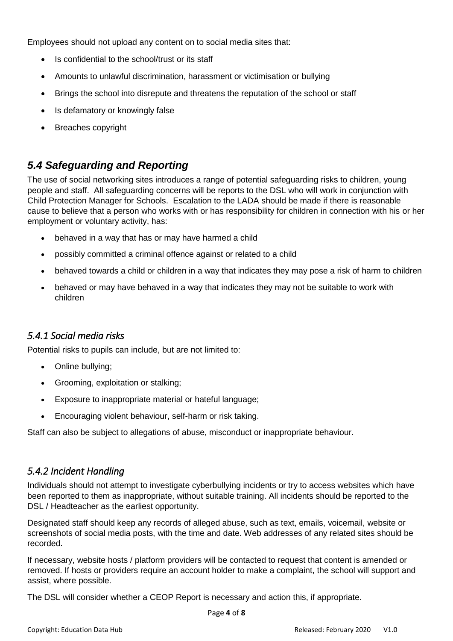Employees should not upload any content on to social media sites that:

- Is confidential to the school/trust or its staff
- Amounts to unlawful discrimination, harassment or victimisation or bullying
- Brings the school into disrepute and threatens the reputation of the school or staff
- Is defamatory or knowingly false
- Breaches copyright

#### <span id="page-4-0"></span>*5.4 Safeguarding and Reporting*

The use of social networking sites introduces a range of potential safeguarding risks to children, young people and staff. All safeguarding concerns will be reports to the DSL who will work in conjunction with Child Protection Manager for Schools. Escalation to the LADA should be made if there is reasonable cause to believe that a person who works with or has responsibility for children in connection with his or her employment or voluntary activity, has:

- behaved in a way that has or may have harmed a child
- possibly committed a criminal offence against or related to a child
- behaved towards a child or children in a way that indicates they may pose a risk of harm to children
- behaved or may have behaved in a way that indicates they may not be suitable to work with children

#### <span id="page-4-1"></span>*5.4.1 Social media risks*

Potential risks to pupils can include, but are not limited to:

- Online bullying;
- Grooming, exploitation or stalking;
- Exposure to inappropriate material or hateful language;
- Encouraging violent behaviour, self-harm or risk taking.

Staff can also be subject to allegations of abuse, misconduct or inappropriate behaviour.

#### <span id="page-4-2"></span>*5.4.2 Incident Handling*

Individuals should not attempt to investigate cyberbullying incidents or try to access websites which have been reported to them as inappropriate, without suitable training. All incidents should be reported to the DSL / Headteacher as the earliest opportunity.

Designated staff should keep any records of alleged abuse, such as text, emails, voicemail, website or screenshots of social media posts, with the time and date. Web addresses of any related sites should be recorded.

If necessary, website hosts / platform providers will be contacted to request that content is amended or removed. If hosts or providers require an account holder to make a complaint, the school will support and assist, where possible.

The DSL will consider whether a [CEOP Report](https://www.ceop.police.uk/ceop-reporting/) is necessary and action this, if appropriate.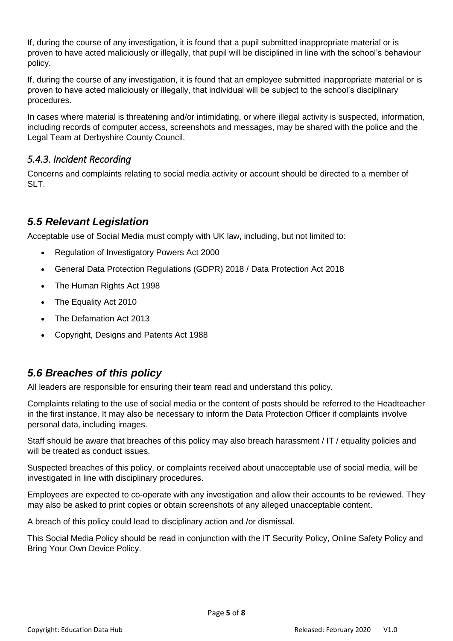If, during the course of any investigation, it is found that a pupil submitted inappropriate material or is proven to have acted maliciously or illegally, that pupil will be disciplined in line with the school's behaviour policy.

If, during the course of any investigation, it is found that an employee submitted inappropriate material or is proven to have acted maliciously or illegally, that individual will be subject to the school's disciplinary procedures.

In cases where material is threatening and/or intimidating, or where illegal activity is suspected, information, including records of computer access, screenshots and messages, may be shared with the police and the Legal Team at Derbyshire County Council.

#### <span id="page-5-0"></span>*5.4.3. Incident Recording*

Concerns and complaints relating to social media activity or account should be directed to a member of SLT.

#### <span id="page-5-1"></span>*5.5 Relevant Legislation*

Acceptable use of Social Media must comply with UK law, including, but not limited to:

- [Regulation of Investigatory Powers Act 2000](https://www.legislation.gov.uk/ukpga/2000/23/contents)
- General Data Protection Regulations (GDPR) 2018 / [Data Protection Act 2018](https://www.legislation.gov.uk/ukpga/2018/12/contents/enacted)
- [The Human Rights Act 1998](https://www.legislation.gov.uk/ukpga/1998/42/contents)
- [The Equality Act 2010](https://www.legislation.gov.uk/ukpga/2010/15/contents)
- [The Defamation Act 2013](https://www.legislation.gov.uk/ukpga/2013/26/contents/enacted)
- [Copyright, Designs and Patents Act 1988](https://www.legislation.gov.uk/ukpga/1988/48/contents)

#### <span id="page-5-2"></span>*5.6 Breaches of this policy*

All leaders are responsible for ensuring their team read and understand this policy.

Complaints relating to the use of social media or the content of posts should be referred to the Headteacher in the first instance. It may also be necessary to inform the Data Protection Officer if complaints involve personal data, including images.

Staff should be aware that breaches of this policy may also breach harassment / IT / equality policies and will be treated as conduct issues.

Suspected breaches of this policy, or complaints received about unacceptable use of social media, will be investigated in line with disciplinary procedures.

Employees are expected to co-operate with any investigation and allow their accounts to be reviewed. They may also be asked to print copies or obtain screenshots of any alleged unacceptable content.

A breach of this policy could lead to disciplinary action and /or dismissal.

This Social Media Policy should be read in conjunction with the IT Security Policy, Online Safety Policy and Bring Your Own Device Policy.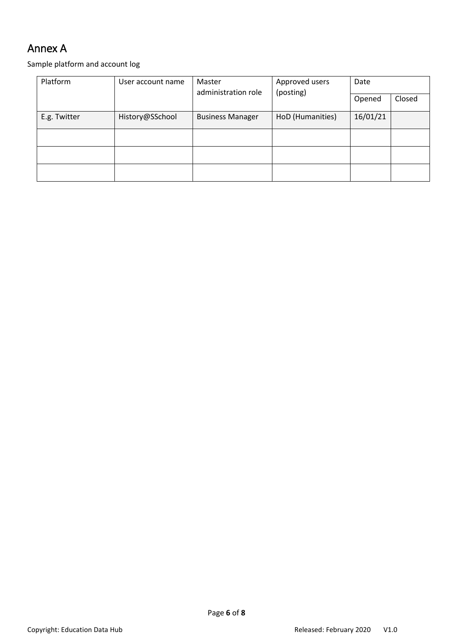### <span id="page-6-0"></span>Annex A

Sample platform and account log

| Platform     | User account name<br>Master<br>(posting)<br>administration role |                         | Approved users   | Date     |  |
|--------------|-----------------------------------------------------------------|-------------------------|------------------|----------|--|
|              |                                                                 |                         | Opened           | Closed   |  |
| E.g. Twitter | History@SSchool                                                 | <b>Business Manager</b> | HoD (Humanities) | 16/01/21 |  |
|              |                                                                 |                         |                  |          |  |
|              |                                                                 |                         |                  |          |  |
|              |                                                                 |                         |                  |          |  |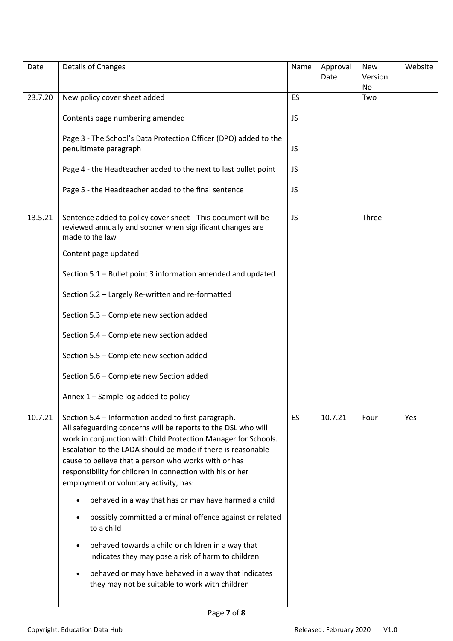| Date    | Details of Changes                                                                                                                                                                                                                                                                                                                                                                                                    | Name      | Approval<br>Date | <b>New</b><br>Version<br>No | Website |
|---------|-----------------------------------------------------------------------------------------------------------------------------------------------------------------------------------------------------------------------------------------------------------------------------------------------------------------------------------------------------------------------------------------------------------------------|-----------|------------------|-----------------------------|---------|
| 23.7.20 | New policy cover sheet added                                                                                                                                                                                                                                                                                                                                                                                          | ES        |                  | Two                         |         |
|         | Contents page numbering amended                                                                                                                                                                                                                                                                                                                                                                                       | JS        |                  |                             |         |
|         | Page 3 - The School's Data Protection Officer (DPO) added to the<br>penultimate paragraph                                                                                                                                                                                                                                                                                                                             | JS        |                  |                             |         |
|         | Page 4 - the Headteacher added to the next to last bullet point                                                                                                                                                                                                                                                                                                                                                       | JS        |                  |                             |         |
|         | Page 5 - the Headteacher added to the final sentence                                                                                                                                                                                                                                                                                                                                                                  | JS        |                  |                             |         |
| 13.5.21 | Sentence added to policy cover sheet - This document will be<br>reviewed annually and sooner when significant changes are<br>made to the law                                                                                                                                                                                                                                                                          | JS        |                  | Three                       |         |
|         | Content page updated                                                                                                                                                                                                                                                                                                                                                                                                  |           |                  |                             |         |
|         | Section 5.1 - Bullet point 3 information amended and updated                                                                                                                                                                                                                                                                                                                                                          |           |                  |                             |         |
|         | Section 5.2 - Largely Re-written and re-formatted                                                                                                                                                                                                                                                                                                                                                                     |           |                  |                             |         |
|         | Section 5.3 - Complete new section added                                                                                                                                                                                                                                                                                                                                                                              |           |                  |                             |         |
|         | Section 5.4 - Complete new section added                                                                                                                                                                                                                                                                                                                                                                              |           |                  |                             |         |
|         | Section 5.5 - Complete new section added                                                                                                                                                                                                                                                                                                                                                                              |           |                  |                             |         |
|         | Section 5.6 - Complete new Section added                                                                                                                                                                                                                                                                                                                                                                              |           |                  |                             |         |
|         | Annex 1 - Sample log added to policy                                                                                                                                                                                                                                                                                                                                                                                  |           |                  |                             |         |
| 10.7.21 | Section 5.4 - Information added to first paragraph.<br>All safeguarding concerns will be reports to the DSL who will<br>work in conjunction with Child Protection Manager for Schools.<br>Escalation to the LADA should be made if there is reasonable<br>cause to believe that a person who works with or has<br>responsibility for children in connection with his or her<br>employment or voluntary activity, has: | <b>ES</b> | 10.7.21          | Four                        | Yes     |
|         | behaved in a way that has or may have harmed a child                                                                                                                                                                                                                                                                                                                                                                  |           |                  |                             |         |
|         | possibly committed a criminal offence against or related<br>to a child                                                                                                                                                                                                                                                                                                                                                |           |                  |                             |         |
|         | behaved towards a child or children in a way that<br>indicates they may pose a risk of harm to children                                                                                                                                                                                                                                                                                                               |           |                  |                             |         |
|         | behaved or may have behaved in a way that indicates<br>they may not be suitable to work with children                                                                                                                                                                                                                                                                                                                 |           |                  |                             |         |